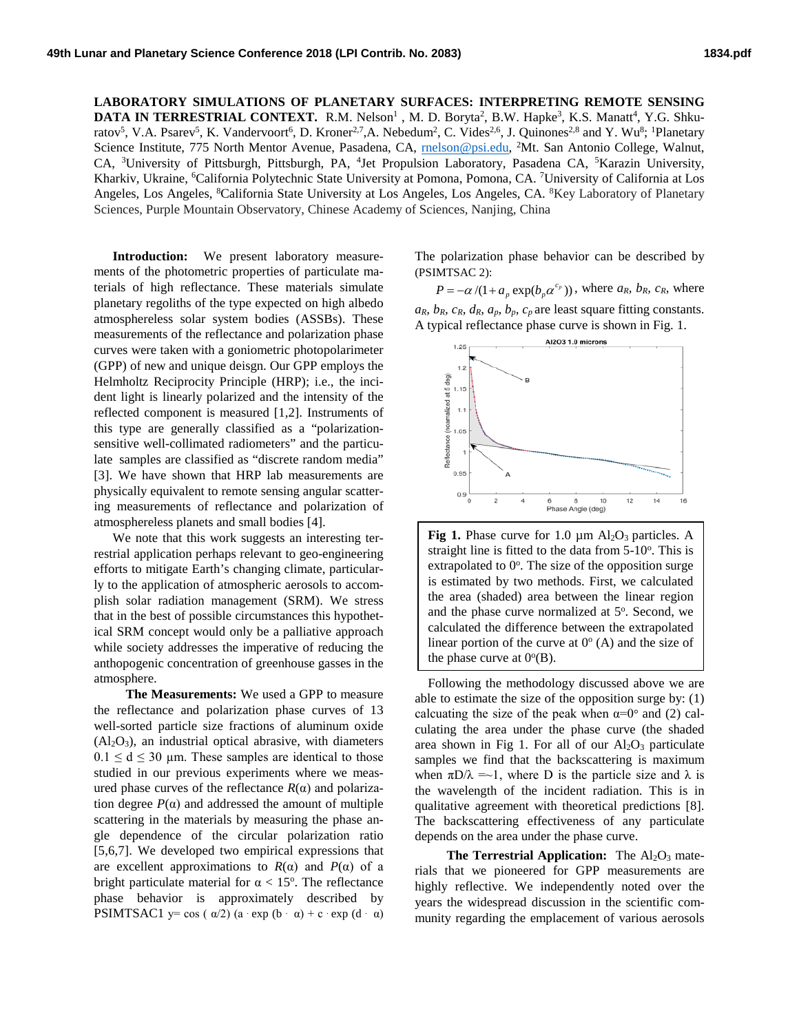**LABORATORY SIMULATIONS OF PLANETARY SURFACES: INTERPRETING REMOTE SENSING DATA IN TERRESTRIAL CONTEXT.** R.M. Nelson<sup>1</sup>, M. D. Boryta<sup>2</sup>, B.W. Hapke<sup>3</sup>, K.S. Manatt<sup>4</sup>, Y.G. Shkuratov<sup>5</sup>, V.A. Psarev<sup>5</sup>, K. Vandervoort<sup>6</sup>, D. Kroner<sup>2,7</sup>,A. Nebedum<sup>2</sup>, C. Vides<sup>2,6</sup>, J. Quinones<sup>2,8</sup> and Y. Wu<sup>8</sup>; <sup>1</sup>Planetary Science Institute, 775 North Mentor Avenue, Pasadena, CA, *rnelson@psi.edu*, <sup>2</sup>Mt. San Antonio College, Walnut, CA, <sup>3</sup>University of Pittsburgh, Pittsburgh, PA, <sup>4</sup>Jet Propulsion Laboratory, Pasadena CA, <sup>5</sup>Karazin University, Kharkiv, Ukraine, <sup>6</sup>California Polytechnic State University at Pomona, Pomona, CA. <sup>7</sup>University of California at Los Angeles, Los Angeles, <sup>8</sup>California State University at Los Angeles, Los Angeles, CA. <sup>8</sup>Key Laboratory of Planetary Sciences, Purple Mountain Observatory, Chinese Academy of Sciences, Nanjing, China

**Introduction:** We present laboratory measurements of the photometric properties of particulate materials of high reflectance. These materials simulate planetary regoliths of the type expected on high albedo atmosphereless solar system bodies (ASSBs). These measurements of the reflectance and polarization phase curves were taken with a goniometric photopolarimeter (GPP) of new and unique deisgn. Our GPP employs the Helmholtz Reciprocity Principle (HRP); i.e., the incident light is linearly polarized and the intensity of the reflected component is measured [1,2]. Instruments of this type are generally classified as a "polarizationsensitive well-collimated radiometers" and the particulate samples are classified as "discrete random media" [3]. We have shown that HRP lab measurements are physically equivalent to remote sensing angular scattering measurements of reflectance and polarization of atmosphereless planets and small bodies [4].

We note that this work suggests an interesting terrestrial application perhaps relevant to geo-engineering efforts to mitigate Earth's changing climate, particularly to the application of atmospheric aerosols to accomplish solar radiation management (SRM). We stress that in the best of possible circumstances this hypothetical SRM concept would only be a palliative approach while society addresses the imperative of reducing the anthopogenic concentration of greenhouse gasses in the atmosphere.

 **The Measurements:** We used a GPP to measure the reflectance and polarization phase curves of 13 well-sorted particle size fractions of aluminum oxide  $(A<sub>12</sub>O<sub>3</sub>)$ , an industrial optical abrasive, with diameters  $0.1 \le d \le 30$  µm. These samples are identical to those studied in our previous experiments where we measured phase curves of the reflectance  $R(α)$  and polarization degree  $P(\alpha)$  and addressed the amount of multiple scattering in the materials by measuring the phase angle dependence of the circular polarization ratio [5,6,7]. We developed two empirical expressions that are excellent approximations to  $R(\alpha)$  and  $P(\alpha)$  of a bright particulate material for  $\alpha < 15^{\circ}$ . The reflectance phase behavior is approximately described by PSIMTSAC1 y= cos ( $\alpha/2$ ) (a · exp (b ·  $\alpha$ ) + c · exp (d ·  $\alpha$ ) The polarization phase behavior can be described by (PSIMTSAC 2):

 $P = -\alpha/(1 + a_n \exp(b_n \alpha^{c_p}))$ , where  $a_R$ ,  $b_R$ ,  $c_R$ , where  $a_R$ ,  $b_R$ ,  $c_R$ ,  $d_R$ ,  $a_p$ ,  $b_p$ ,  $c_p$  are least square fitting constants. A typical reflectance phase curve is shown in Fig. 1.



**Fig 1.** Phase curve for 1.0  $\mu$ m Al<sub>2</sub>O<sub>3</sub> particles. A straight line is fitted to the data from  $5-10$ <sup>o</sup>. This is extrapolated to  $0^\circ$ . The size of the opposition surge is estimated by two methods. First, we calculated the area (shaded) area between the linear region and the phase curve normalized at 5°. Second, we calculated the difference between the extrapolated linear portion of the curve at  $0^{\circ}$  (A) and the size of the phase curve at  $0^{\circ}$ (B).

 Following the methodology discussed above we are able to estimate the size of the opposition surge by: (1) calcuating the size of the peak when  $\alpha=0^{\circ}$  and (2) calculating the area under the phase curve (the shaded area shown in Fig 1. For all of our  $Al_2O_3$  particulate samples we find that the backscattering is maximum when  $\pi D/\lambda = 1$ , where D is the particle size and  $\lambda$  is the wavelength of the incident radiation. This is in qualitative agreement with theoretical predictions [8]. The backscattering effectiveness of any particulate depends on the area under the phase curve.

**The Terrestrial Application:** The Al<sub>2</sub>O<sub>3</sub> materials that we pioneered for GPP measurements are highly reflective. We independently noted over the years the widespread discussion in the scientific community regarding the emplacement of various aerosols